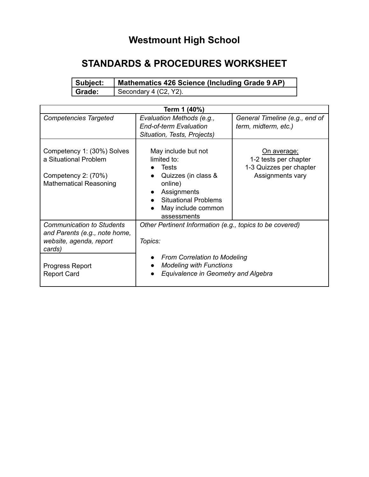# **Westmount High School**

# **STANDARDS & PROCEDURES WORKSHEET**

| Subject:      | Mathematics 426 Science (Including Grade 9 AP) |
|---------------|------------------------------------------------|
| <b>Grade:</b> | Secondary 4 (C2, Y2).                          |

| Term 1 (40%)                                                                                                |                                                                                                                                                                           |                                                                                     |  |  |  |
|-------------------------------------------------------------------------------------------------------------|---------------------------------------------------------------------------------------------------------------------------------------------------------------------------|-------------------------------------------------------------------------------------|--|--|--|
| <b>Competencies Targeted</b>                                                                                | Evaluation Methods (e.g.,<br><b>End-of-term Evaluation</b><br>Situation, Tests, Projects)                                                                                 | General Timeline (e.g., end of<br>term, midterm, etc.)                              |  |  |  |
| Competency 1: (30%) Solves<br>a Situational Problem<br>Competency 2: (70%)<br><b>Mathematical Reasoning</b> | May include but not<br>limited to:<br><b>Tests</b><br>Quizzes (in class &<br>online)<br>• Assignments<br><b>Situational Problems</b><br>May include common<br>assessments | On average;<br>1-2 tests per chapter<br>1-3 Quizzes per chapter<br>Assignments vary |  |  |  |
| <b>Communication to Students</b><br>and Parents (e.g., note home,<br>website, agenda, report<br>cards)      | Other Pertinent Information (e.g., topics to be covered)<br>Topics:                                                                                                       |                                                                                     |  |  |  |
| Progress Report<br><b>Report Card</b>                                                                       | <b>From Correlation to Modeling</b><br><b>Modeling with Functions</b><br>Equivalence in Geometry and Algebra                                                              |                                                                                     |  |  |  |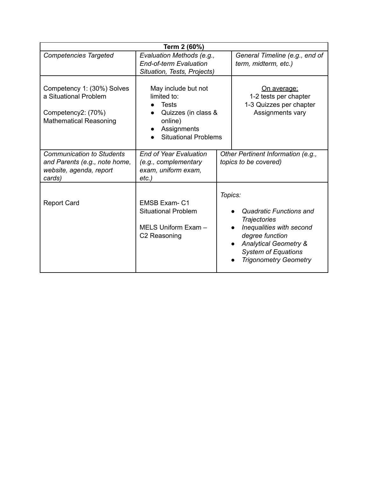| Term 2 (60%)                                                                                                                                                                                       |                                                                                                                                    |         |                                                                                                                                                                                                        |  |  |  |
|----------------------------------------------------------------------------------------------------------------------------------------------------------------------------------------------------|------------------------------------------------------------------------------------------------------------------------------------|---------|--------------------------------------------------------------------------------------------------------------------------------------------------------------------------------------------------------|--|--|--|
| <b>Competencies Targeted</b>                                                                                                                                                                       | Evaluation Methods (e.g.,<br><b>End-of-term Evaluation</b><br>Situation, Tests, Projects)                                          |         | General Timeline (e.g., end of<br>term, midterm, etc.)                                                                                                                                                 |  |  |  |
| Competency 1: (30%) Solves<br>a Situational Problem<br>Competency2: (70%)<br><b>Mathematical Reasoning</b>                                                                                         | May include but not<br>limited to:<br><b>Tests</b><br>Quizzes (in class &<br>online)<br>Assignments<br><b>Situational Problems</b> |         | <u>On average:</u><br>1-2 tests per chapter<br>1-3 Quizzes per chapter<br>Assignments vary                                                                                                             |  |  |  |
| <b>Communication to Students</b><br><b>End of Year Evaluation</b><br>and Parents (e.g., note home,<br>(e.g., complementary<br>website, agenda, report<br>exam, uniform exam,<br>$etc.$ )<br>cards) |                                                                                                                                    |         | Other Pertinent Information (e.g.,<br>topics to be covered)                                                                                                                                            |  |  |  |
| <b>Report Card</b>                                                                                                                                                                                 | <b>EMSB Exam-C1</b><br><b>Situational Problem</b><br>MELS Uniform Exam -<br>C <sub>2</sub> Reasoning                               | Topics: | <b>Quadratic Functions and</b><br><b>Trajectories</b><br>Inequalities with second<br>degree function<br><b>Analytical Geometry &amp;</b><br><b>System of Equations</b><br><b>Trigonometry Geometry</b> |  |  |  |